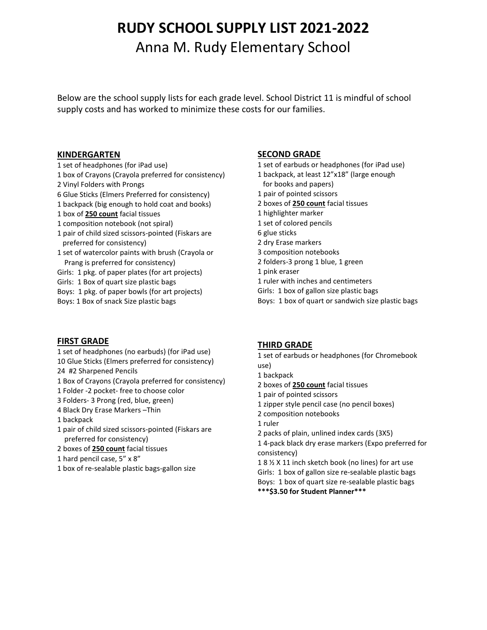# **RUDY SCHOOL SUPPLY LIST 2021-2022** Anna M. Rudy Elementary School

Below are the school supply lists for each grade level. School District 11 is mindful of school supply costs and has worked to minimize these costs for our families.

#### **KINDERGARTEN**

- 1 set of headphones (for iPad use)
- 1 box of Crayons (Crayola preferred for consistency)
- 2 Vinyl Folders with Prongs
- 6 Glue Sticks (Elmers Preferred for consistency)
- 1 backpack (big enough to hold coat and books)
- 1 box of **250 count** facial tissues
- 1 composition notebook (not spiral)
- 1 pair of child sized scissors-pointed (Fiskars are preferred for consistency)
- 1 set of watercolor paints with brush (Crayola or Prang is preferred for consistency)
- Girls: 1 pkg. of paper plates (for art projects)
- Girls: 1 Box of quart size plastic bags
- Boys: 1 pkg. of paper bowls (for art projects)
- Boys: 1 Box of snack Size plastic bags

# **FIRST GRADE**

- 1 set of headphones (no earbuds) (for iPad use) 10 Glue Sticks (Elmers preferred for consistency)
- 24 #2 Sharpened Pencils 1 Box of Crayons (Crayola preferred for consistency)
- 1 Folder -2 pocket- free to choose color
- 3 Folders- 3 Prong (red, blue, green)
- 4 Black Dry Erase Markers –Thin
- 1 backpack
- 1 pair of child sized scissors-pointed (Fiskars are preferred for consistency)
- 2 boxes of **250 count** facial tissues
- 1 hard pencil case, 5" x 8"
- 1 box of re-sealable plastic bags-gallon size

# **SECOND GRADE**

- 1 set of earbuds or headphones (for iPad use)
- 1 backpack, at least 12"x18" (large enough
- for books and papers)
- 1 pair of pointed scissors
- 2 boxes of **250 count** facial tissues
- 1 highlighter marker
- 1 set of colored pencils
- 6 glue sticks
- 2 dry Erase markers
- 3 composition notebooks
- 2 folders-3 prong 1 blue, 1 green
- 1 pink eraser
- 1 ruler with inches and centimeters
- Girls: 1 box of gallon size plastic bags
- Boys: 1 box of quart or sandwich size plastic bags

# **THIRD GRADE**

- 1 set of earbuds or headphones (for Chromebook use)
- 1 backpack
- 2 boxes of **250 count** facial tissues
- 1 pair of pointed scissors
- 1 zipper style pencil case (no pencil boxes)
- 2 composition notebooks
- 1 ruler
- 2 packs of plain, unlined index cards (3X5)

1 4-pack black dry erase markers (Expo preferred for consistency)

1 8 ½ X 11 inch sketch book (no lines) for art use Girls: 1 box of gallon size re-sealable plastic bags Boys: 1 box of quart size re-sealable plastic bags **\*\*\*\$3.50 for Student Planner\*\*\***